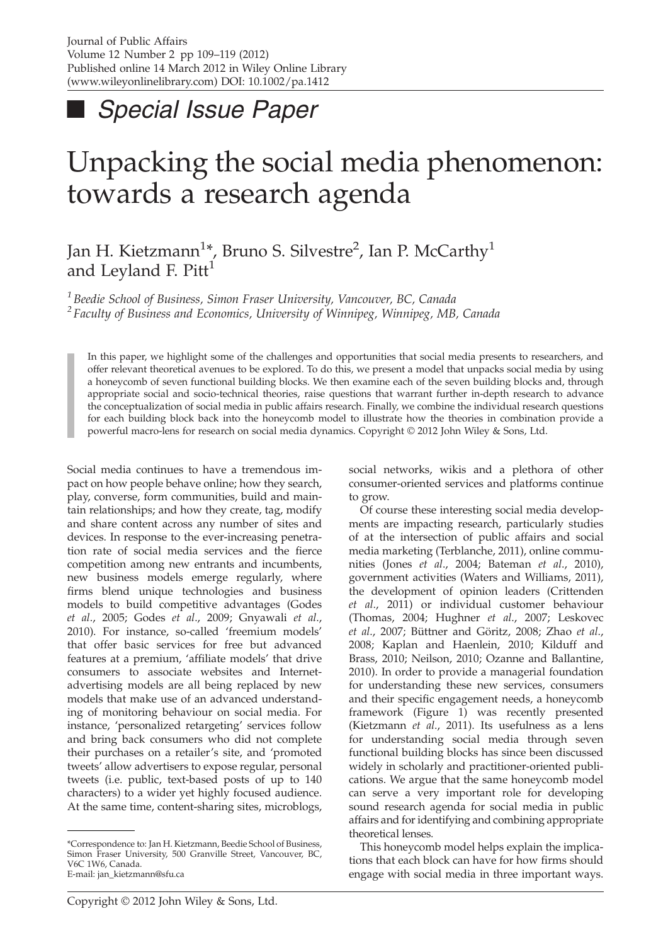## ■ Special Issue Paper

# Unpacking the social media phenomenon: towards a research agenda

### Jan H. Kietzmann $^{1*}$ , Bruno S. Silvestre $^{2}$ , Ian P. McCarthy $^{1}$ and Leyland F. Pitt $1$

 $1$  Beedie School of Business, Simon Fraser University, Vancouver, BC, Canada

 $2$ Faculty of Business and Economics, University of Winnipeg, Winnipeg, MB, Canada

In this paper, we highlight some of the challenges and opportunities that social media presents to researchers, and offer relevant theoretical avenues to be explored. To do this, we present a model that unpacks social media by using a honeycomb of seven functional building blocks. We then examine each of the seven building blocks and, through appropriate social and socio-technical theories, raise questions that warrant further in-depth research to advance the conceptualization of social media in public affairs research. Finally, we combine the individual research questions for each building block back into the honeycomb model to illustrate how the theories in combination provide a powerful macro-lens for research on social media dynamics. Copyright © 2012 John Wiley & Sons, Ltd.

Social media continues to have a tremendous impact on how people behave online; how they search, play, converse, form communities, build and maintain relationships; and how they create, tag, modify and share content across any number of sites and devices. In response to the ever-increasing penetration rate of social media services and the fierce competition among new entrants and incumbents, new business models emerge regularly, where firms blend unique technologies and business models to build competitive advantages (Godes et al., 2005; Godes et al., 2009; Gnyawali et al., 2010). For instance, so-called 'freemium models' that offer basic services for free but advanced features at a premium, 'affiliate models' that drive consumers to associate websites and Internetadvertising models are all being replaced by new models that make use of an advanced understanding of monitoring behaviour on social media. For instance, 'personalized retargeting' services follow and bring back consumers who did not complete their purchases on a retailer's site, and 'promoted tweets' allow advertisers to expose regular, personal tweets (i.e. public, text-based posts of up to 140 characters) to a wider yet highly focused audience. At the same time, content-sharing sites, microblogs, social networks, wikis and a plethora of other consumer-oriented services and platforms continue to grow.

Of course these interesting social media developments are impacting research, particularly studies of at the intersection of public affairs and social media marketing (Terblanche, 2011), online communities (Jones et al., 2004; Bateman et al., 2010), government activities (Waters and Williams, 2011), the development of opinion leaders (Crittenden et al., 2011) or individual customer behaviour (Thomas, 2004; Hughner et al., 2007; Leskovec et al., 2007; Büttner and Göritz, 2008; Zhao et al., 2008; Kaplan and Haenlein, 2010; Kilduff and Brass, 2010; Neilson, 2010; Ozanne and Ballantine, 2010). In order to provide a managerial foundation for understanding these new services, consumers and their specific engagement needs, a honeycomb framework (Figure 1) was recently presented (Kietzmann et al., 2011). Its usefulness as a lens for understanding social media through seven functional building blocks has since been discussed widely in scholarly and practitioner-oriented publications. We argue that the same honeycomb model can serve a very important role for developing sound research agenda for social media in public affairs and for identifying and combining appropriate theoretical lenses.

This honeycomb model helps explain the implications that each block can have for how firms should engage with social media in three important ways.

<sup>\*</sup>Correspondence to: Jan H. Kietzmann, Beedie School of Business, Simon Fraser University, 500 Granville Street, Vancouver, BC, V6C 1W6, Canada. E-mail: jan\_kietzmann@sfu.ca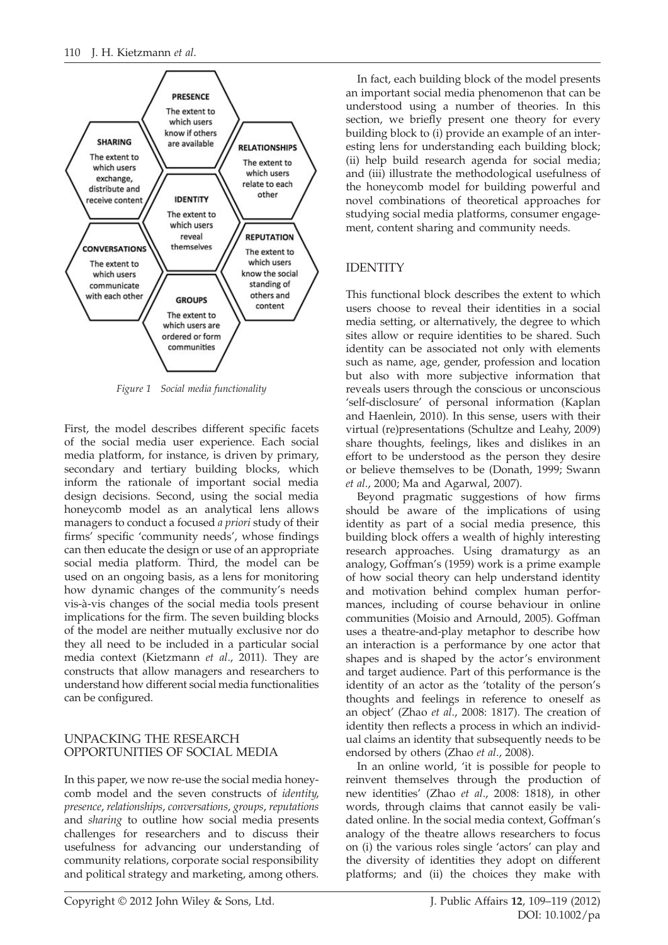

Figure 1 Social media functionality

First, the model describes different specific facets of the social media user experience. Each social media platform, for instance, is driven by primary, secondary and tertiary building blocks, which inform the rationale of important social media design decisions. Second, using the social media honeycomb model as an analytical lens allows managers to conduct a focused a priori study of their firms' specific 'community needs', whose findings can then educate the design or use of an appropriate social media platform. Third, the model can be used on an ongoing basis, as a lens for monitoring how dynamic changes of the community's needs vis-à-vis changes of the social media tools present implications for the firm. The seven building blocks of the model are neither mutually exclusive nor do they all need to be included in a particular social media context (Kietzmann et al., 2011). They are constructs that allow managers and researchers to understand how different social media functionalities can be configured.

#### UNPACKING THE RESEARCH OPPORTUNITIES OF SOCIAL MEDIA

In this paper, we now re-use the social media honeycomb model and the seven constructs of identity, presence, relationships, conversations, groups, reputations and sharing to outline how social media presents challenges for researchers and to discuss their usefulness for advancing our understanding of community relations, corporate social responsibility and political strategy and marketing, among others.

In fact, each building block of the model presents an important social media phenomenon that can be understood using a number of theories. In this section, we briefly present one theory for every building block to (i) provide an example of an interesting lens for understanding each building block; (ii) help build research agenda for social media; and (iii) illustrate the methodological usefulness of the honeycomb model for building powerful and novel combinations of theoretical approaches for studying social media platforms, consumer engagement, content sharing and community needs.

#### IDENTITY

This functional block describes the extent to which users choose to reveal their identities in a social media setting, or alternatively, the degree to which sites allow or require identities to be shared. Such identity can be associated not only with elements such as name, age, gender, profession and location but also with more subjective information that reveals users through the conscious or unconscious 'self-disclosure' of personal information (Kaplan and Haenlein, 2010). In this sense, users with their virtual (re)presentations (Schultze and Leahy, 2009) share thoughts, feelings, likes and dislikes in an effort to be understood as the person they desire or believe themselves to be (Donath, 1999; Swann et al., 2000; Ma and Agarwal, 2007).

Beyond pragmatic suggestions of how firms should be aware of the implications of using identity as part of a social media presence, this building block offers a wealth of highly interesting research approaches. Using dramaturgy as an analogy, Goffman's (1959) work is a prime example of how social theory can help understand identity and motivation behind complex human performances, including of course behaviour in online communities (Moisio and Arnould, 2005). Goffman uses a theatre-and-play metaphor to describe how an interaction is a performance by one actor that shapes and is shaped by the actor's environment and target audience. Part of this performance is the identity of an actor as the 'totality of the person's thoughts and feelings in reference to oneself as an object' (Zhao et al., 2008: 1817). The creation of identity then reflects a process in which an individual claims an identity that subsequently needs to be endorsed by others (Zhao et al., 2008).

In an online world, 'it is possible for people to reinvent themselves through the production of new identities' (Zhao et al., 2008: 1818), in other words, through claims that cannot easily be validated online. In the social media context, Goffman's analogy of the theatre allows researchers to focus on (i) the various roles single 'actors' can play and the diversity of identities they adopt on different platforms; and (ii) the choices they make with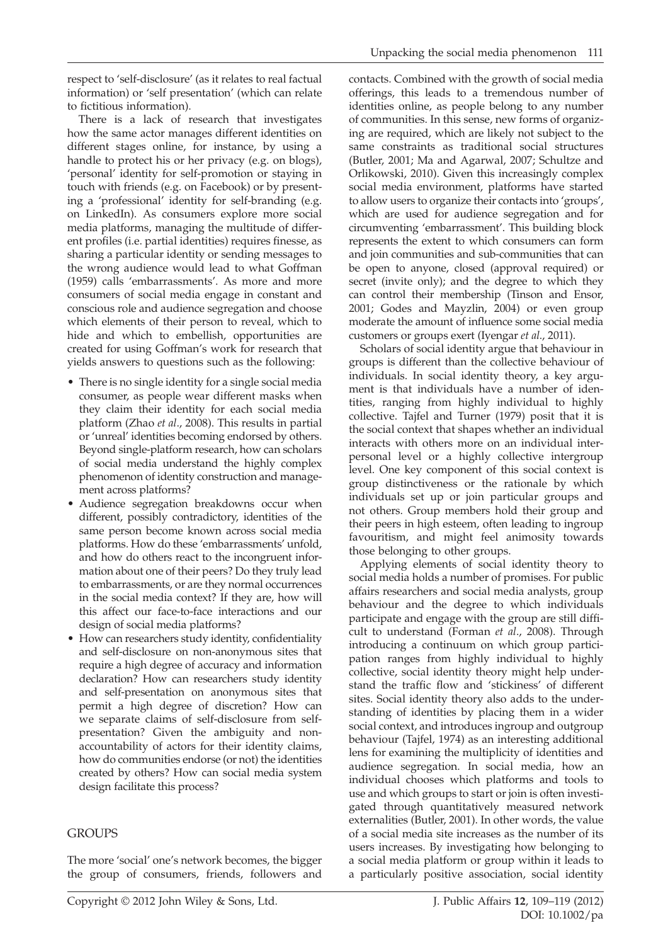respect to 'self-disclosure' (as it relates to real factual information) or 'self presentation' (which can relate to fictitious information).

There is a lack of research that investigates how the same actor manages different identities on different stages online, for instance, by using a handle to protect his or her privacy (e.g. on blogs), 'personal' identity for self-promotion or staying in touch with friends (e.g. on Facebook) or by presenting a 'professional' identity for self-branding (e.g. on LinkedIn). As consumers explore more social media platforms, managing the multitude of different profiles (i.e. partial identities) requires finesse, as sharing a particular identity or sending messages to the wrong audience would lead to what Goffman (1959) calls 'embarrassments'. As more and more consumers of social media engage in constant and conscious role and audience segregation and choose which elements of their person to reveal, which to hide and which to embellish, opportunities are created for using Goffman's work for research that yields answers to questions such as the following:

- There is no single identity for a single social media consumer, as people wear different masks when they claim their identity for each social media platform (Zhao et al., 2008). This results in partial or 'unreal' identities becoming endorsed by others. Beyond single-platform research, how can scholars of social media understand the highly complex phenomenon of identity construction and management across platforms?
- Audience segregation breakdowns occur when different, possibly contradictory, identities of the same person become known across social media platforms. How do these 'embarrassments' unfold, and how do others react to the incongruent information about one of their peers? Do they truly lead to embarrassments, or are they normal occurrences in the social media context? If they are, how will this affect our face-to-face interactions and our design of social media platforms?
- How can researchers study identity, confidentiality and self-disclosure on non-anonymous sites that require a high degree of accuracy and information declaration? How can researchers study identity and self-presentation on anonymous sites that permit a high degree of discretion? How can we separate claims of self-disclosure from selfpresentation? Given the ambiguity and nonaccountability of actors for their identity claims, how do communities endorse (or not) the identities created by others? How can social media system design facilitate this process?

#### **GROUPS**

The more 'social' one's network becomes, the bigger the group of consumers, friends, followers and contacts. Combined with the growth of social media offerings, this leads to a tremendous number of identities online, as people belong to any number of communities. In this sense, new forms of organizing are required, which are likely not subject to the same constraints as traditional social structures (Butler, 2001; Ma and Agarwal, 2007; Schultze and Orlikowski, 2010). Given this increasingly complex social media environment, platforms have started to allow users to organize their contacts into 'groups', which are used for audience segregation and for circumventing 'embarrassment'. This building block represents the extent to which consumers can form and join communities and sub-communities that can be open to anyone, closed (approval required) or secret (invite only); and the degree to which they can control their membership (Tinson and Ensor, 2001; Godes and Mayzlin, 2004) or even group moderate the amount of influence some social media customers or groups exert (Iyengar et al., 2011).

Scholars of social identity argue that behaviour in groups is different than the collective behaviour of individuals. In social identity theory, a key argument is that individuals have a number of identities, ranging from highly individual to highly collective. Tajfel and Turner (1979) posit that it is the social context that shapes whether an individual interacts with others more on an individual interpersonal level or a highly collective intergroup level. One key component of this social context is group distinctiveness or the rationale by which individuals set up or join particular groups and not others. Group members hold their group and their peers in high esteem, often leading to ingroup favouritism, and might feel animosity towards those belonging to other groups.

Applying elements of social identity theory to social media holds a number of promises. For public affairs researchers and social media analysts, group behaviour and the degree to which individuals participate and engage with the group are still difficult to understand (Forman et al., 2008). Through introducing a continuum on which group participation ranges from highly individual to highly collective, social identity theory might help understand the traffic flow and 'stickiness' of different sites. Social identity theory also adds to the understanding of identities by placing them in a wider social context, and introduces ingroup and outgroup behaviour (Tajfel, 1974) as an interesting additional lens for examining the multiplicity of identities and audience segregation. In social media, how an individual chooses which platforms and tools to use and which groups to start or join is often investigated through quantitatively measured network externalities (Butler, 2001). In other words, the value of a social media site increases as the number of its users increases. By investigating how belonging to a social media platform or group within it leads to a particularly positive association, social identity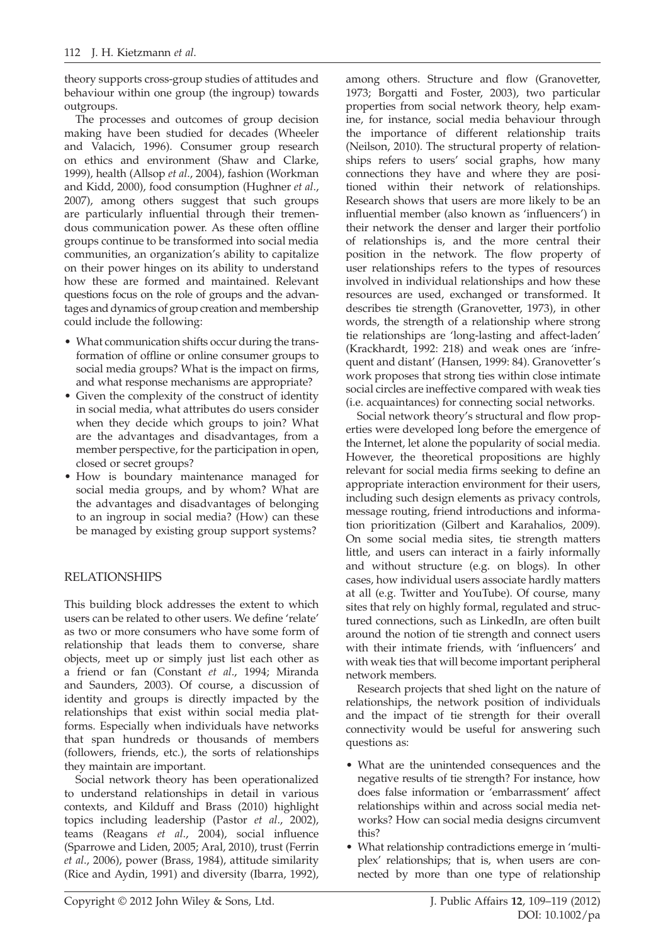theory supports cross-group studies of attitudes and behaviour within one group (the ingroup) towards outgroups.

The processes and outcomes of group decision making have been studied for decades (Wheeler and Valacich, 1996). Consumer group research on ethics and environment (Shaw and Clarke, 1999), health (Allsop et al., 2004), fashion (Workman and Kidd, 2000), food consumption (Hughner et al., 2007), among others suggest that such groups are particularly influential through their tremendous communication power. As these often offline groups continue to be transformed into social media communities, an organization's ability to capitalize on their power hinges on its ability to understand how these are formed and maintained. Relevant questions focus on the role of groups and the advantages and dynamics of group creation and membership could include the following:

- What communication shifts occur during the transformation of offline or online consumer groups to social media groups? What is the impact on firms, and what response mechanisms are appropriate?
- Given the complexity of the construct of identity in social media, what attributes do users consider when they decide which groups to join? What are the advantages and disadvantages, from a member perspective, for the participation in open, closed or secret groups?
- How is boundary maintenance managed for social media groups, and by whom? What are the advantages and disadvantages of belonging to an ingroup in social media? (How) can these be managed by existing group support systems?

#### RELATIONSHIPS

This building block addresses the extent to which users can be related to other users. We define 'relate' as two or more consumers who have some form of relationship that leads them to converse, share objects, meet up or simply just list each other as a friend or fan (Constant et al., 1994; Miranda and Saunders, 2003). Of course, a discussion of identity and groups is directly impacted by the relationships that exist within social media platforms. Especially when individuals have networks that span hundreds or thousands of members (followers, friends, etc.), the sorts of relationships they maintain are important.

Social network theory has been operationalized to understand relationships in detail in various contexts, and Kilduff and Brass (2010) highlight topics including leadership (Pastor et al., 2002), teams (Reagans et al., 2004), social influence (Sparrowe and Liden, 2005; Aral, 2010), trust (Ferrin et al., 2006), power (Brass, 1984), attitude similarity (Rice and Aydin, 1991) and diversity (Ibarra, 1992), among others. Structure and flow (Granovetter, 1973; Borgatti and Foster, 2003), two particular properties from social network theory, help examine, for instance, social media behaviour through the importance of different relationship traits (Neilson, 2010). The structural property of relationships refers to users' social graphs, how many connections they have and where they are positioned within their network of relationships. Research shows that users are more likely to be an influential member (also known as 'influencers') in their network the denser and larger their portfolio of relationships is, and the more central their position in the network. The flow property of user relationships refers to the types of resources involved in individual relationships and how these resources are used, exchanged or transformed. It describes tie strength (Granovetter, 1973), in other words, the strength of a relationship where strong tie relationships are 'long-lasting and affect-laden' (Krackhardt, 1992: 218) and weak ones are 'infrequent and distant' (Hansen, 1999: 84). Granovetter's work proposes that strong ties within close intimate social circles are ineffective compared with weak ties (i.e. acquaintances) for connecting social networks.

Social network theory's structural and flow properties were developed long before the emergence of the Internet, let alone the popularity of social media. However, the theoretical propositions are highly relevant for social media firms seeking to define an appropriate interaction environment for their users, including such design elements as privacy controls, message routing, friend introductions and information prioritization (Gilbert and Karahalios, 2009). On some social media sites, tie strength matters little, and users can interact in a fairly informally and without structure (e.g. on blogs). In other cases, how individual users associate hardly matters at all (e.g. Twitter and YouTube). Of course, many sites that rely on highly formal, regulated and structured connections, such as LinkedIn, are often built around the notion of tie strength and connect users with their intimate friends, with 'influencers' and with weak ties that will become important peripheral network members.

Research projects that shed light on the nature of relationships, the network position of individuals and the impact of tie strength for their overall connectivity would be useful for answering such questions as:

- What are the unintended consequences and the negative results of tie strength? For instance, how does false information or 'embarrassment' affect relationships within and across social media networks? How can social media designs circumvent this?
- What relationship contradictions emerge in 'multiplex' relationships; that is, when users are connected by more than one type of relationship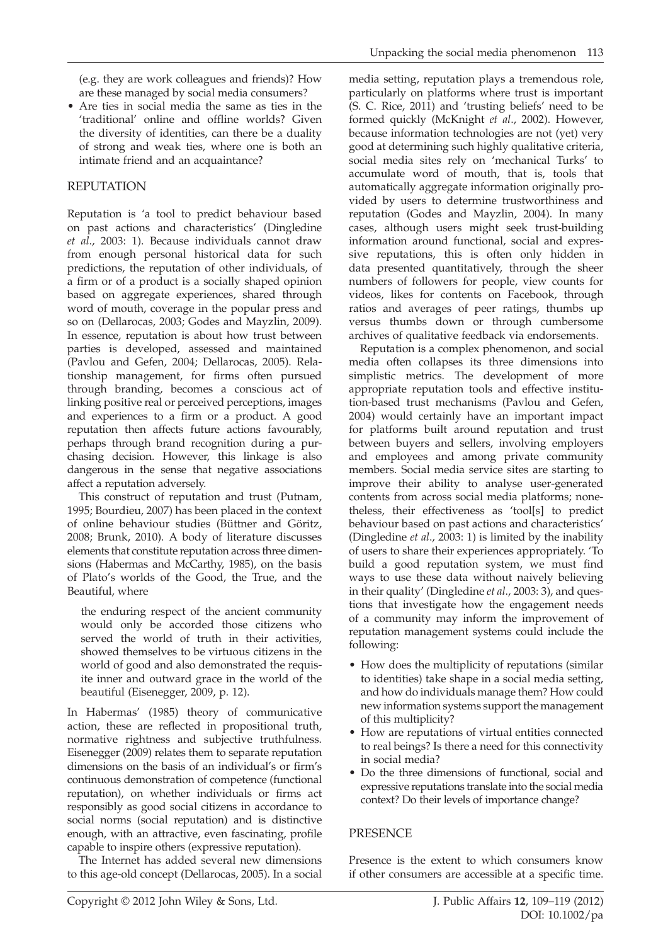(e.g. they are work colleagues and friends)? How are these managed by social media consumers?

• Are ties in social media the same as ties in the 'traditional' online and offline worlds? Given the diversity of identities, can there be a duality of strong and weak ties, where one is both an intimate friend and an acquaintance?

#### REPUTATION

Reputation is 'a tool to predict behaviour based on past actions and characteristics' (Dingledine et al., 2003: 1). Because individuals cannot draw from enough personal historical data for such predictions, the reputation of other individuals, of a firm or of a product is a socially shaped opinion based on aggregate experiences, shared through word of mouth, coverage in the popular press and so on (Dellarocas, 2003; Godes and Mayzlin, 2009). In essence, reputation is about how trust between parties is developed, assessed and maintained (Pavlou and Gefen, 2004; Dellarocas, 2005). Relationship management, for firms often pursued through branding, becomes a conscious act of linking positive real or perceived perceptions, images and experiences to a firm or a product. A good reputation then affects future actions favourably, perhaps through brand recognition during a purchasing decision. However, this linkage is also dangerous in the sense that negative associations affect a reputation adversely.

This construct of reputation and trust (Putnam, 1995; Bourdieu, 2007) has been placed in the context of online behaviour studies (Büttner and Göritz, 2008; Brunk, 2010). A body of literature discusses elements that constitute reputation across three dimensions (Habermas and McCarthy, 1985), on the basis of Plato's worlds of the Good, the True, and the Beautiful, where

the enduring respect of the ancient community would only be accorded those citizens who served the world of truth in their activities, showed themselves to be virtuous citizens in the world of good and also demonstrated the requisite inner and outward grace in the world of the beautiful (Eisenegger, 2009, p. 12).

In Habermas' (1985) theory of communicative action, these are reflected in propositional truth, normative rightness and subjective truthfulness. Eisenegger (2009) relates them to separate reputation dimensions on the basis of an individual's or firm's continuous demonstration of competence (functional reputation), on whether individuals or firms act responsibly as good social citizens in accordance to social norms (social reputation) and is distinctive enough, with an attractive, even fascinating, profile capable to inspire others (expressive reputation).

The Internet has added several new dimensions to this age-old concept (Dellarocas, 2005). In a social

media setting, reputation plays a tremendous role, particularly on platforms where trust is important (S. C. Rice, 2011) and 'trusting beliefs' need to be formed quickly (McKnight et al., 2002). However, because information technologies are not (yet) very good at determining such highly qualitative criteria, social media sites rely on 'mechanical Turks' to accumulate word of mouth, that is, tools that automatically aggregate information originally provided by users to determine trustworthiness and reputation (Godes and Mayzlin, 2004). In many cases, although users might seek trust-building information around functional, social and expressive reputations, this is often only hidden in data presented quantitatively, through the sheer numbers of followers for people, view counts for videos, likes for contents on Facebook, through ratios and averages of peer ratings, thumbs up versus thumbs down or through cumbersome archives of qualitative feedback via endorsements.

Reputation is a complex phenomenon, and social media often collapses its three dimensions into simplistic metrics. The development of more appropriate reputation tools and effective institution-based trust mechanisms (Pavlou and Gefen, 2004) would certainly have an important impact for platforms built around reputation and trust between buyers and sellers, involving employers and employees and among private community members. Social media service sites are starting to improve their ability to analyse user-generated contents from across social media platforms; nonetheless, their effectiveness as 'tool[s] to predict behaviour based on past actions and characteristics' (Dingledine et al., 2003: 1) is limited by the inability of users to share their experiences appropriately. 'To build a good reputation system, we must find ways to use these data without naively believing in their quality' (Dingledine et al., 2003: 3), and questions that investigate how the engagement needs of a community may inform the improvement of reputation management systems could include the following:

- How does the multiplicity of reputations (similar to identities) take shape in a social media setting, and how do individuals manage them? How could new information systems support the management of this multiplicity?
- How are reputations of virtual entities connected to real beings? Is there a need for this connectivity in social media?
- Do the three dimensions of functional, social and expressive reputations translate into the social media context? Do their levels of importance change?

#### PRESENCE

Presence is the extent to which consumers know if other consumers are accessible at a specific time.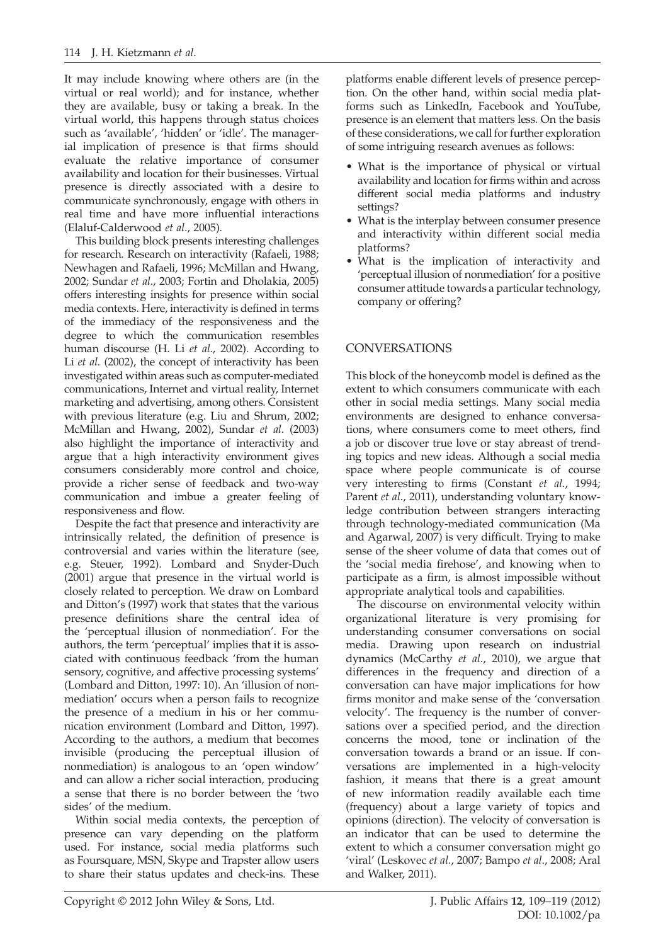It may include knowing where others are (in the virtual or real world); and for instance, whether they are available, busy or taking a break. In the virtual world, this happens through status choices such as 'available', 'hidden' or 'idle'. The managerial implication of presence is that firms should evaluate the relative importance of consumer availability and location for their businesses. Virtual presence is directly associated with a desire to communicate synchronously, engage with others in real time and have more influential interactions (Elaluf-Calderwood et al., 2005).

This building block presents interesting challenges for research. Research on interactivity (Rafaeli, 1988; Newhagen and Rafaeli, 1996; McMillan and Hwang, 2002; Sundar et al., 2003; Fortin and Dholakia, 2005) offers interesting insights for presence within social media contexts. Here, interactivity is defined in terms of the immediacy of the responsiveness and the degree to which the communication resembles human discourse (H. Li et al., 2002). According to Li et al. (2002), the concept of interactivity has been investigated within areas such as computer-mediated communications, Internet and virtual reality, Internet marketing and advertising, among others. Consistent with previous literature (e.g. Liu and Shrum, 2002; McMillan and Hwang, 2002), Sundar et al. (2003) also highlight the importance of interactivity and argue that a high interactivity environment gives consumers considerably more control and choice, provide a richer sense of feedback and two-way communication and imbue a greater feeling of responsiveness and flow.

Despite the fact that presence and interactivity are intrinsically related, the definition of presence is controversial and varies within the literature (see, e.g. Steuer, 1992). Lombard and Snyder-Duch (2001) argue that presence in the virtual world is closely related to perception. We draw on Lombard and Ditton's (1997) work that states that the various presence definitions share the central idea of the 'perceptual illusion of nonmediation'. For the authors, the term 'perceptual' implies that it is associated with continuous feedback 'from the human sensory, cognitive, and affective processing systems' (Lombard and Ditton, 1997: 10). An 'illusion of nonmediation' occurs when a person fails to recognize the presence of a medium in his or her communication environment (Lombard and Ditton, 1997). According to the authors, a medium that becomes invisible (producing the perceptual illusion of nonmediation) is analogous to an 'open window' and can allow a richer social interaction, producing a sense that there is no border between the 'two sides' of the medium.

Within social media contexts, the perception of presence can vary depending on the platform used. For instance, social media platforms such as Foursquare, MSN, Skype and Trapster allow users to share their status updates and check-ins. These

platforms enable different levels of presence perception. On the other hand, within social media platforms such as LinkedIn, Facebook and YouTube, presence is an element that matters less. On the basis of these considerations, we call for further exploration of some intriguing research avenues as follows:

- What is the importance of physical or virtual availability and location for firms within and across different social media platforms and industry settings?
- What is the interplay between consumer presence and interactivity within different social media platforms?
- What is the implication of interactivity and 'perceptual illusion of nonmediation' for a positive consumer attitude towards a particular technology, company or offering?

#### **CONVERSATIONS**

This block of the honeycomb model is defined as the extent to which consumers communicate with each other in social media settings. Many social media environments are designed to enhance conversations, where consumers come to meet others, find a job or discover true love or stay abreast of trending topics and new ideas. Although a social media space where people communicate is of course very interesting to firms (Constant et al., 1994; Parent et al., 2011), understanding voluntary knowledge contribution between strangers interacting through technology-mediated communication (Ma and Agarwal, 2007) is very difficult. Trying to make sense of the sheer volume of data that comes out of the 'social media firehose', and knowing when to participate as a firm, is almost impossible without appropriate analytical tools and capabilities.

The discourse on environmental velocity within organizational literature is very promising for understanding consumer conversations on social media. Drawing upon research on industrial dynamics (McCarthy et al., 2010), we argue that differences in the frequency and direction of a conversation can have major implications for how firms monitor and make sense of the 'conversation velocity'. The frequency is the number of conversations over a specified period, and the direction concerns the mood, tone or inclination of the conversation towards a brand or an issue. If conversations are implemented in a high-velocity fashion, it means that there is a great amount of new information readily available each time (frequency) about a large variety of topics and opinions (direction). The velocity of conversation is an indicator that can be used to determine the extent to which a consumer conversation might go 'viral' (Leskovec et al., 2007; Bampo et al., 2008; Aral and Walker, 2011).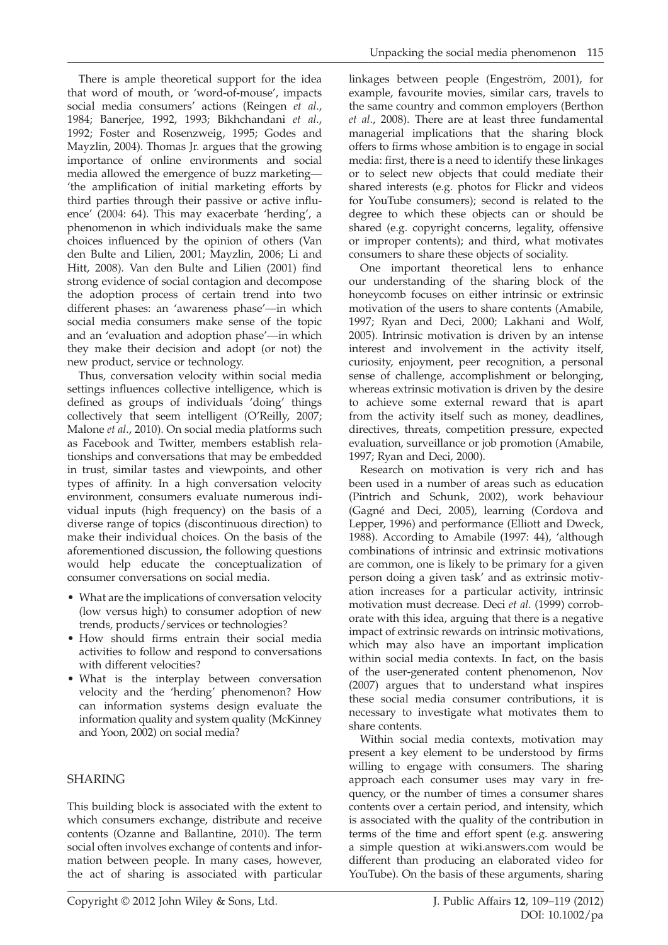There is ample theoretical support for the idea that word of mouth, or 'word-of-mouse', impacts social media consumers' actions (Reingen et al., 1984; Banerjee, 1992, 1993; Bikhchandani et al., 1992; Foster and Rosenzweig, 1995; Godes and Mayzlin, 2004). Thomas Jr. argues that the growing importance of online environments and social media allowed the emergence of buzz marketing— 'the amplification of initial marketing efforts by third parties through their passive or active influence' (2004: 64). This may exacerbate 'herding', a phenomenon in which individuals make the same choices influenced by the opinion of others (Van den Bulte and Lilien, 2001; Mayzlin, 2006; Li and Hitt, 2008). Van den Bulte and Lilien (2001) find strong evidence of social contagion and decompose the adoption process of certain trend into two different phases: an 'awareness phase'—in which social media consumers make sense of the topic and an 'evaluation and adoption phase'—in which they make their decision and adopt (or not) the new product, service or technology.

Thus, conversation velocity within social media settings influences collective intelligence, which is defined as groups of individuals 'doing' things collectively that seem intelligent (O'Reilly, 2007; Malone et al., 2010). On social media platforms such as Facebook and Twitter, members establish relationships and conversations that may be embedded in trust, similar tastes and viewpoints, and other types of affinity. In a high conversation velocity environment, consumers evaluate numerous individual inputs (high frequency) on the basis of a diverse range of topics (discontinuous direction) to make their individual choices. On the basis of the aforementioned discussion, the following questions would help educate the conceptualization of consumer conversations on social media.

- What are the implications of conversation velocity (low versus high) to consumer adoption of new trends, products/services or technologies?
- How should firms entrain their social media activities to follow and respond to conversations with different velocities?
- What is the interplay between conversation velocity and the 'herding' phenomenon? How can information systems design evaluate the information quality and system quality (McKinney and Yoon, 2002) on social media?

#### SHARING

This building block is associated with the extent to which consumers exchange, distribute and receive contents (Ozanne and Ballantine, 2010). The term social often involves exchange of contents and information between people. In many cases, however, the act of sharing is associated with particular

linkages between people (Engeström, 2001), for example, favourite movies, similar cars, travels to the same country and common employers (Berthon et al., 2008). There are at least three fundamental managerial implications that the sharing block offers to firms whose ambition is to engage in social media: first, there is a need to identify these linkages or to select new objects that could mediate their shared interests (e.g. photos for Flickr and videos for YouTube consumers); second is related to the degree to which these objects can or should be shared (e.g. copyright concerns, legality, offensive or improper contents); and third, what motivates consumers to share these objects of sociality.

One important theoretical lens to enhance our understanding of the sharing block of the honeycomb focuses on either intrinsic or extrinsic motivation of the users to share contents (Amabile, 1997; Ryan and Deci, 2000; Lakhani and Wolf, 2005). Intrinsic motivation is driven by an intense interest and involvement in the activity itself, curiosity, enjoyment, peer recognition, a personal sense of challenge, accomplishment or belonging, whereas extrinsic motivation is driven by the desire to achieve some external reward that is apart from the activity itself such as money, deadlines, directives, threats, competition pressure, expected evaluation, surveillance or job promotion (Amabile, 1997; Ryan and Deci, 2000).

Research on motivation is very rich and has been used in a number of areas such as education (Pintrich and Schunk, 2002), work behaviour (Gagné and Deci, 2005), learning (Cordova and Lepper, 1996) and performance (Elliott and Dweck, 1988). According to Amabile (1997: 44), 'although combinations of intrinsic and extrinsic motivations are common, one is likely to be primary for a given person doing a given task' and as extrinsic motivation increases for a particular activity, intrinsic motivation must decrease. Deci et al. (1999) corroborate with this idea, arguing that there is a negative impact of extrinsic rewards on intrinsic motivations, which may also have an important implication within social media contexts. In fact, on the basis of the user-generated content phenomenon, Nov (2007) argues that to understand what inspires these social media consumer contributions, it is necessary to investigate what motivates them to share contents.

Within social media contexts, motivation may present a key element to be understood by firms willing to engage with consumers. The sharing approach each consumer uses may vary in frequency, or the number of times a consumer shares contents over a certain period, and intensity, which is associated with the quality of the contribution in terms of the time and effort spent (e.g. answering a simple question at wiki.answers.com would be different than producing an elaborated video for YouTube). On the basis of these arguments, sharing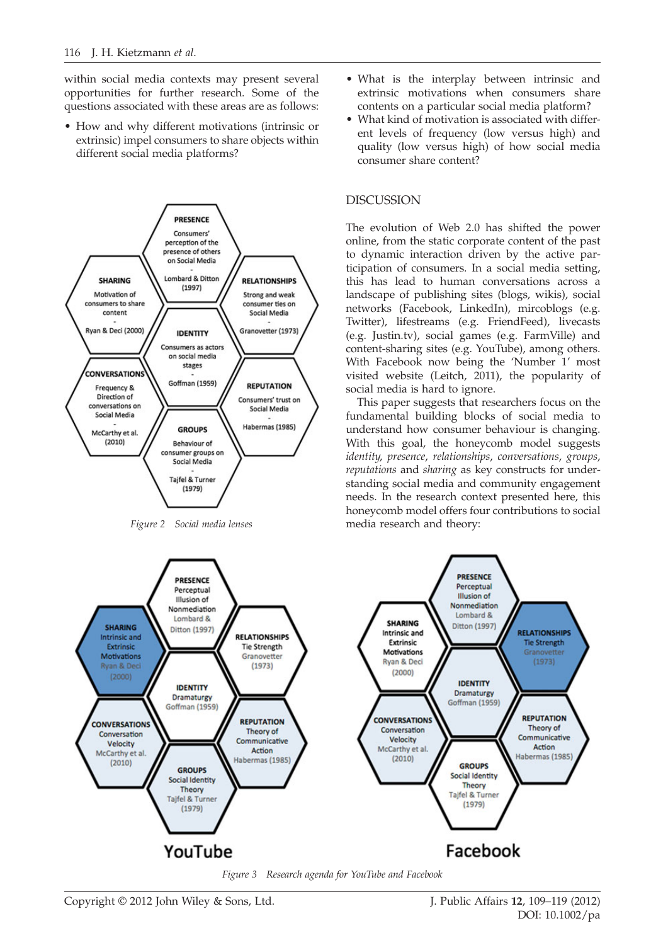within social media contexts may present several opportunities for further research. Some of the questions associated with these areas are as follows:

• How and why different motivations (intrinsic or extrinsic) impel consumers to share objects within different social media platforms?



- What is the interplay between intrinsic and extrinsic motivations when consumers share contents on a particular social media platform?
- What kind of motivation is associated with different levels of frequency (low versus high) and quality (low versus high) of how social media consumer share content?

#### DISCUSSION

The evolution of Web 2.0 has shifted the power online, from the static corporate content of the past to dynamic interaction driven by the active participation of consumers. In a social media setting, this has lead to human conversations across a landscape of publishing sites (blogs, wikis), social networks (Facebook, LinkedIn), mircoblogs (e.g. Twitter), lifestreams (e.g. FriendFeed), livecasts (e.g. Justin.tv), social games (e.g. FarmVille) and content-sharing sites (e.g. YouTube), among others. With Facebook now being the 'Number 1' most visited website (Leitch, 2011), the popularity of social media is hard to ignore.

This paper suggests that researchers focus on the fundamental building blocks of social media to understand how consumer behaviour is changing. With this goal, the honeycomb model suggests identity, presence, relationships, conversations, groups, reputations and sharing as key constructs for understanding social media and community engagement needs. In the research context presented here, this honeycomb model offers four contributions to social Figure 2 Social media lenses media research and theory:



Figure 3 Research agenda for YouTube and Facebook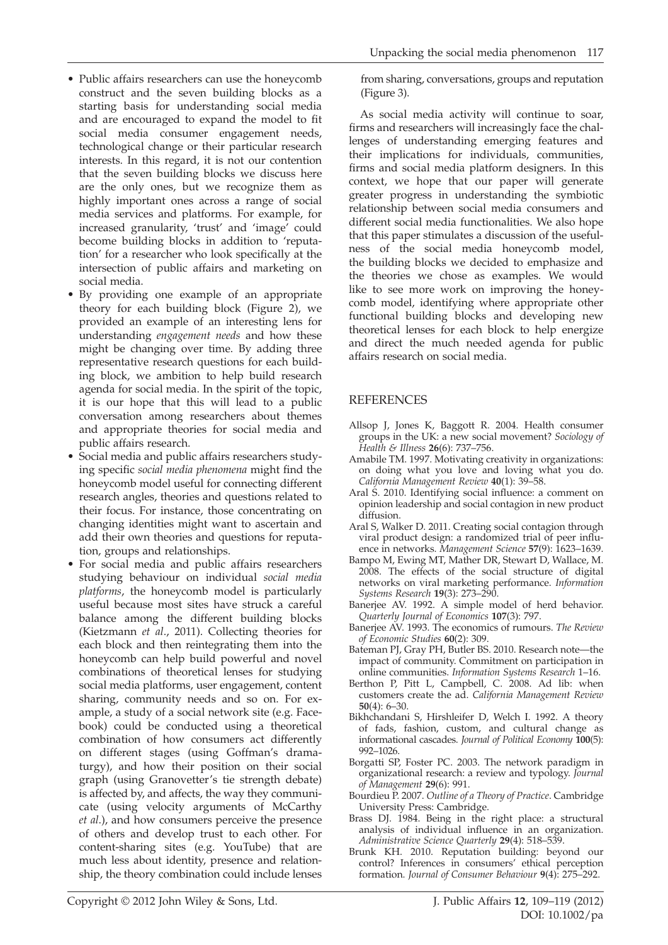- Public affairs researchers can use the honeycomb construct and the seven building blocks as a starting basis for understanding social media and are encouraged to expand the model to fit social media consumer engagement needs, technological change or their particular research interests. In this regard, it is not our contention that the seven building blocks we discuss here are the only ones, but we recognize them as highly important ones across a range of social media services and platforms. For example, for increased granularity, 'trust' and 'image' could become building blocks in addition to 'reputation' for a researcher who look specifically at the intersection of public affairs and marketing on social media.
- By providing one example of an appropriate theory for each building block (Figure 2), we provided an example of an interesting lens for understanding engagement needs and how these might be changing over time. By adding three representative research questions for each building block, we ambition to help build research agenda for social media. In the spirit of the topic, it is our hope that this will lead to a public conversation among researchers about themes and appropriate theories for social media and public affairs research.
- Social media and public affairs researchers studying specific social media phenomena might find the honeycomb model useful for connecting different research angles, theories and questions related to their focus. For instance, those concentrating on changing identities might want to ascertain and add their own theories and questions for reputation, groups and relationships.
- For social media and public affairs researchers studying behaviour on individual social media platforms, the honeycomb model is particularly useful because most sites have struck a careful balance among the different building blocks (Kietzmann et al., 2011). Collecting theories for each block and then reintegrating them into the honeycomb can help build powerful and novel combinations of theoretical lenses for studying social media platforms, user engagement, content sharing, community needs and so on. For example, a study of a social network site (e.g. Facebook) could be conducted using a theoretical combination of how consumers act differently on different stages (using Goffman's dramaturgy), and how their position on their social graph (using Granovetter's tie strength debate) is affected by, and affects, the way they communicate (using velocity arguments of McCarthy et al.), and how consumers perceive the presence of others and develop trust to each other. For content-sharing sites (e.g. YouTube) that are much less about identity, presence and relationship, the theory combination could include lenses

from sharing, conversations, groups and reputation (Figure 3).

As social media activity will continue to soar, firms and researchers will increasingly face the challenges of understanding emerging features and their implications for individuals, communities, firms and social media platform designers. In this context, we hope that our paper will generate greater progress in understanding the symbiotic relationship between social media consumers and different social media functionalities. We also hope that this paper stimulates a discussion of the usefulness of the social media honeycomb model, the building blocks we decided to emphasize and the theories we chose as examples. We would like to see more work on improving the honeycomb model, identifying where appropriate other functional building blocks and developing new theoretical lenses for each block to help energize and direct the much needed agenda for public affairs research on social media.

#### **REFERENCES**

- Allsop J, Jones K, Baggott R. 2004. Health consumer groups in the UK: a new social movement? Sociology of Health & Illness 26(6): 737–756.
- Amabile TM. 1997. Motivating creativity in organizations: on doing what you love and loving what you do. California Management Review 40(1): 39–58.
- Aral S. 2010. Identifying social influence: a comment on opinion leadership and social contagion in new product diffusion.
- Aral S, Walker D. 2011. Creating social contagion through viral product design: a randomized trial of peer influence in networks. Management Science 57(9): 1623-1639.
- Bampo M, Ewing MT, Mather DR, Stewart D, Wallace, M. 2008. The effects of the social structure of digital networks on viral marketing performance. Information Systems Research 19(3): 273–290.
- Banerjee AV. 1992. A simple model of herd behavior. Quarterly Journal of Economics 107(3): 797.
- Banerjee AV. 1993. The economics of rumours. The Review of Economic Studies 60(2): 309.
- Bateman PJ, Gray PH, Butler BS. 2010. Research note—the impact of community. Commitment on participation in online communities. Information Systems Research 1–16.
- Berthon P, Pitt L, Campbell, C. 2008. Ad lib: when customers create the ad. California Management Review 50(4): 6–30.
- Bikhchandani S, Hirshleifer D, Welch I. 1992. A theory of fads, fashion, custom, and cultural change as informational cascades. Journal of Political Economy 100(5): 992–1026.
- Borgatti SP, Foster PC. 2003. The network paradigm in organizational research: a review and typology. Journal of Management 29(6): 991.
- Bourdieu P. 2007. Outline of a Theory of Practice. Cambridge University Press: Cambridge.
- Brass DJ. 1984. Being in the right place: a structural analysis of individual influence in an organization. Administrative Science Quarterly 29(4): 518–539.
- Brunk KH. 2010. Reputation building: beyond our control? Inferences in consumers' ethical perception formation. Journal of Consumer Behaviour 9(4): 275–292.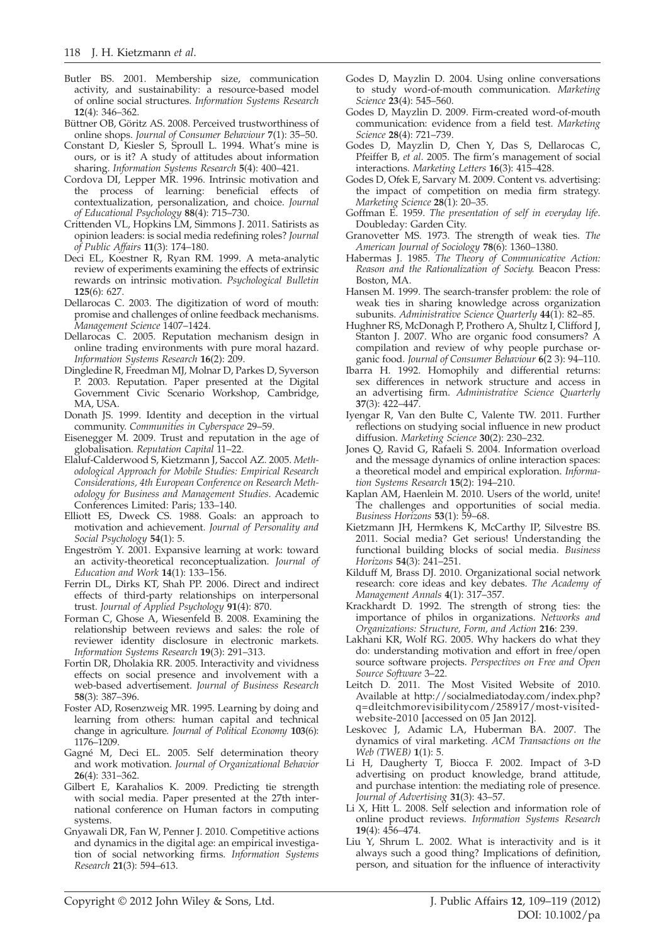- Butler BS. 2001. Membership size, communication activity, and sustainability: a resource-based model of online social structures. Information Systems Research 12(4): 346–362.
- Büttner OB, Göritz AS. 2008. Perceived trustworthiness of online shops. Journal of Consumer Behaviour 7(1): 35–50.
- Constant D, Kiesler S, Sproull L. 1994. What's mine is ours, or is it? A study of attitudes about information sharing. Information Systems Research 5(4): 400–421.
- Cordova DI, Lepper MR. 1996. Intrinsic motivation and the process of learning: beneficial effects of contextualization, personalization, and choice. Journal of Educational Psychology 88(4): 715–730.
- Crittenden VL, Hopkins LM, Simmons J. 2011. Satirists as opinion leaders: is social media redefining roles? Journal of Public Affairs 11(3): 174–180.
- Deci EL, Koestner R, Ryan RM. 1999. A meta-analytic review of experiments examining the effects of extrinsic rewards on intrinsic motivation. Psychological Bulletin 125(6): 627.
- Dellarocas C. 2003. The digitization of word of mouth: promise and challenges of online feedback mechanisms. Management Science 1407–1424.
- Dellarocas C. 2005. Reputation mechanism design in online trading environments with pure moral hazard. Information Systems Research 16(2): 209.
- Dingledine R, Freedman MJ, Molnar D, Parkes D, Syverson P. 2003. Reputation. Paper presented at the Digital Government Civic Scenario Workshop, Cambridge, MA, USA.
- Donath JS. 1999. Identity and deception in the virtual community. Communities in Cyberspace 29–59.
- Eisenegger M. 2009. Trust and reputation in the age of globalisation. Reputation Capital 11–22.
- Elaluf-Calderwood S, Kietzmann J, Saccol AZ. 2005. Methodological Approach for Mobile Studies: Empirical Research Considerations, 4th European Conference on Research Methodology for Business and Management Studies. Academic Conferences Limited: Paris; 133–140.
- Elliott ES, Dweck CS. 1988. Goals: an approach to motivation and achievement. Journal of Personality and Social Psychology 54(1): 5.
- Engeström Y. 2001. Expansive learning at work: toward an activity-theoretical reconceptualization. Journal of Education and Work 14(1): 133–156.
- Ferrin DL, Dirks KT, Shah PP. 2006. Direct and indirect effects of third-party relationships on interpersonal trust. Journal of Applied Psychology 91(4): 870.
- Forman C, Ghose A, Wiesenfeld B. 2008. Examining the relationship between reviews and sales: the role of reviewer identity disclosure in electronic markets. Information Systems Research 19(3): 291–313.
- Fortin DR, Dholakia RR. 2005. Interactivity and vividness effects on social presence and involvement with a web-based advertisement. Journal of Business Research 58(3): 387–396.
- Foster AD, Rosenzweig MR. 1995. Learning by doing and learning from others: human capital and technical change in agriculture. Journal of Political Economy 103(6): 1176–1209.
- Gagné M, Deci EL. 2005. Self determination theory and work motivation. Journal of Organizational Behavior 26(4): 331–362.
- Gilbert E, Karahalios K. 2009. Predicting tie strength with social media. Paper presented at the 27th international conference on Human factors in computing systems.
- Gnyawali DR, Fan W, Penner J. 2010. Competitive actions and dynamics in the digital age: an empirical investigation of social networking firms. Information Systems Research 21(3): 594–613.
- Godes D, Mayzlin D. 2004. Using online conversations to study word-of-mouth communication. Marketing Science 23(4): 545-560.
- Godes D, Mayzlin D. 2009. Firm-created word-of-mouth communication: evidence from a field test. Marketing Science 28(4): 721–739.
- Godes D, Mayzlin D, Chen Y, Das S, Dellarocas C, Pfeiffer B, et al. 2005. The firm's management of social interactions. Marketing Letters 16(3): 415–428.
- Godes D, Ofek E, Sarvary M. 2009. Content vs. advertising: the impact of competition on media firm strategy. Marketing Science 28(1): 20-35.
- Goffman E. 1959. The presentation of self in everyday life. Doubleday: Garden City.
- Granovetter MS. 1973. The strength of weak ties. The American Journal of Sociology 78(6): 1360–1380.
- Habermas J. 1985. The Theory of Communicative Action: Reason and the Rationalization of Society. Beacon Press: Boston, MA.
- Hansen M. 1999. The search-transfer problem: the role of weak ties in sharing knowledge across organization subunits. Administrative Science Quarterly 44(1): 82–85.
- Hughner RS, McDonagh P, Prothero A, Shultz I, Clifford J, Stanton J. 2007. Who are organic food consumers? A compilation and review of why people purchase organic food. Journal of Consumer Behaviour 6(2 3): 94-110.
- Ibarra H. 1992. Homophily and differential returns: sex differences in network structure and access in an advertising firm. Administrative Science Quarterly 37(3): 422–447.
- Iyengar R, Van den Bulte C, Valente TW. 2011. Further reflections on studying social influence in new product diffusion. Marketing Science 30(2): 230–232.
- Jones Q, Ravid G, Rafaeli S. 2004. Information overload and the message dynamics of online interaction spaces: a theoretical model and empirical exploration. Information Systems Research 15(2): 194-210.
- Kaplan AM, Haenlein M. 2010. Users of the world, unite! The challenges and opportunities of social media. Business Horizons 53(1): 59–68.
- Kietzmann JH, Hermkens K, McCarthy IP, Silvestre BS. 2011. Social media? Get serious! Understanding the functional building blocks of social media. Business Horizons 54(3): 241–251.
- Kilduff M, Brass DJ. 2010. Organizational social network research: core ideas and key debates. The Academy of Management Annals 4(1): 317–357.
- Krackhardt D. 1992. The strength of strong ties: the importance of philos in organizations. Networks and Organizations: Structure, Form, and Action 216: 239.
- Lakhani KR, Wolf RG. 2005. Why hackers do what they do: understanding motivation and effort in free/open source software projects. Perspectives on Free and Open Source Software 3–22.
- Leitch D. 2011. The Most Visited Website of 2010. Available at [http://socialmediatoday.com/index.php?](http://socialmediatoday.com/index.php?q=dleitchmorevisibilitycom/258917/most-visited-website-2010) [q=dleitchmorevisibilitycom/258917/most-visited](http://socialmediatoday.com/index.php?q=dleitchmorevisibilitycom/258917/most-visited-website-2010)[website-2010](http://socialmediatoday.com/index.php?q=dleitchmorevisibilitycom/258917/most-visited-website-2010) [accessed on 05 Jan 2012].
- Leskovec J, Adamic LA, Huberman BA. 2007. The dynamics of viral marketing. ACM Transactions on the Web (TWEB) **1**(1): 5.
- Li H, Daugherty T, Biocca F. 2002. Impact of 3-D advertising on product knowledge, brand attitude, and purchase intention: the mediating role of presence. Journal of Advertising 31(3): 43–57.
- Li X, Hitt L. 2008. Self selection and information role of online product reviews. Information Systems Research 19(4): 456–474.
- Liu Y, Shrum L. 2002. What is interactivity and is it always such a good thing? Implications of definition, person, and situation for the influence of interactivity